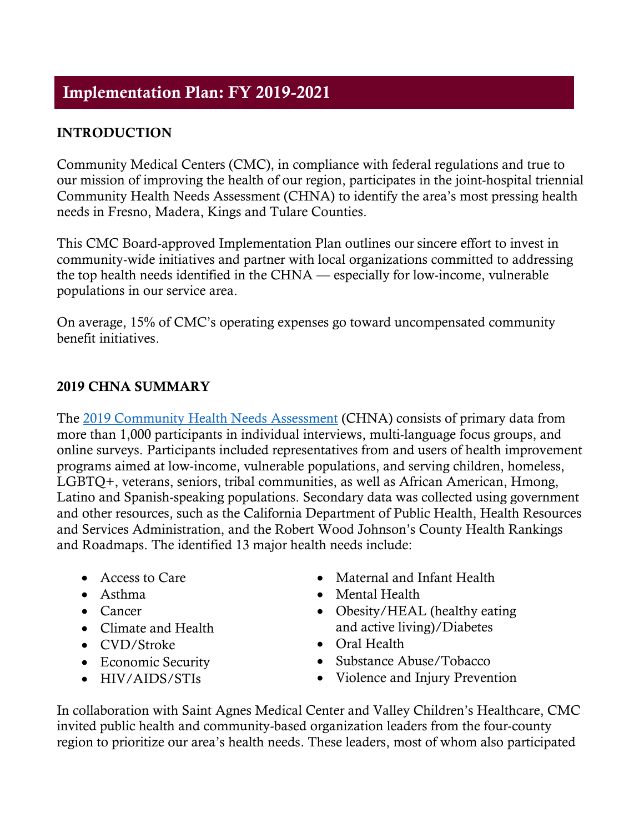# **INTRODUCTION**

Community Medical Centers (CMC), in compliance with federal regulations and true to our mission of improving the health of our region, participates in the joint-hospital triennial Community Health Needs Assessment (CHNA) to identify the area's most pressing health needs in Fresno, Madera, Kings and Tulare Counties.

This CMC Board-approved Implementation Plan outlines our sincere effort to invest in community-wide initiatives and partner with local organizations committed to addressing the top health needs identified in the CHNA — especially for low-income, vulnerable populations in our service area.

On average, 15% of CMC's operating expenses go toward uncompensated community benefit initiatives.

## **2019 CHNA SUMMARY**

The [2019 Community Health Needs Assessment](https://www.hospitalcouncil.org/sites/main/files/file-attachments/final_central_valley_chna_3.18.pdf?1553209460) (CHNA) consists of primary data from more than 1,000 participants in individual interviews, multi-language focus groups, and online surveys. Participants included representatives from and users of health improvement programs aimed at low-income, vulnerable populations, and serving children, homeless, LGBTQ+, veterans, seniors, tribal communities, as well as African American, Hmong, Latino and Spanish-speaking populations. Secondary data was collected using government and other resources, such as the California Department of Public Health, Health Resources and Services Administration, and the Robert Wood Johnson's County Health Rankings and Roadmaps. The identified 13 major health needs include:

- Access to Care
- Asthma
- Cancer
- Climate and Health
- CVD/Stroke
- Economic Security
- HIV/AIDS/STIs
- Maternal and Infant Health
- Mental Health
- Obesity/HEAL (healthy eating and active living)/Diabetes
- Oral Health
- Substance Abuse/Tobacco
- Violence and Injury Prevention

In collaboration with Saint Agnes Medical Center and Valley Children's Healthcare, CMC invited public health and community-based organization leaders from the four-county region to prioritize our area's health needs. These leaders, most of whom also participated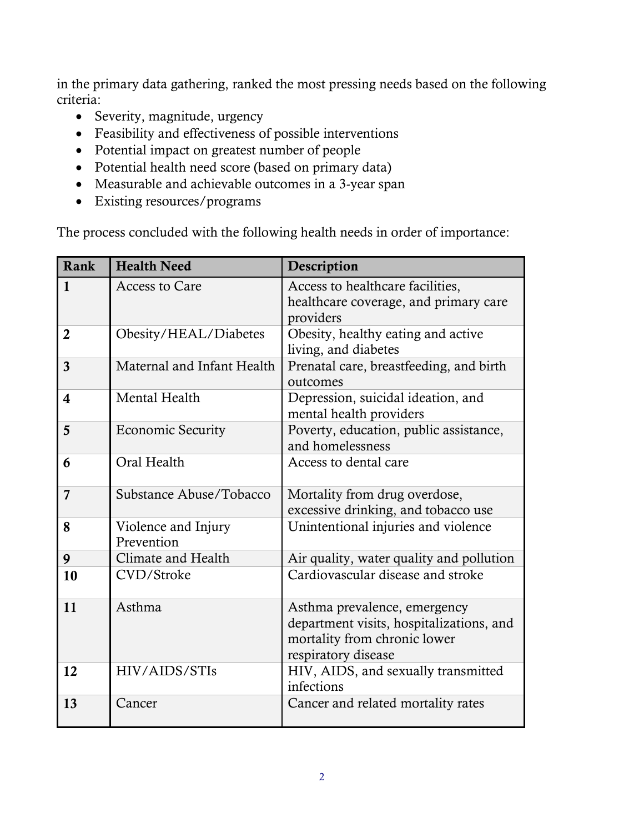in the primary data gathering, ranked the most pressing needs based on the following criteria:

- Severity, magnitude, urgency
- Feasibility and effectiveness of possible interventions
- Potential impact on greatest number of people
- Potential health need score (based on primary data)
- Measurable and achievable outcomes in a 3-year span
- Existing resources/programs

The process concluded with the following health needs in order of importance:

| Rank           | <b>Health Need</b>                | Description                                                                                                                     |
|----------------|-----------------------------------|---------------------------------------------------------------------------------------------------------------------------------|
| $\mathbf{1}$   | <b>Access to Care</b>             | Access to healthcare facilities,<br>healthcare coverage, and primary care<br>providers                                          |
| $\overline{2}$ | Obesity/HEAL/Diabetes             | Obesity, healthy eating and active<br>living, and diabetes                                                                      |
| 3              | Maternal and Infant Health        | Prenatal care, breastfeeding, and birth<br>outcomes                                                                             |
| 4              | Mental Health                     | Depression, suicidal ideation, and<br>mental health providers                                                                   |
| 5              | <b>Economic Security</b>          | Poverty, education, public assistance,<br>and homelessness                                                                      |
| 6              | Oral Health                       | Access to dental care                                                                                                           |
| 7              | Substance Abuse/Tobacco           | Mortality from drug overdose,<br>excessive drinking, and tobacco use                                                            |
| 8              | Violence and Injury<br>Prevention | Unintentional injuries and violence                                                                                             |
| 9              | Climate and Health                | Air quality, water quality and pollution                                                                                        |
| 10             | CVD/Stroke                        | Cardiovascular disease and stroke                                                                                               |
| 11             | Asthma                            | Asthma prevalence, emergency<br>department visits, hospitalizations, and<br>mortality from chronic lower<br>respiratory disease |
| 12             | HIV/AIDS/STIs                     | HIV, AIDS, and sexually transmitted<br>infections                                                                               |
| 13             | Cancer                            | Cancer and related mortality rates                                                                                              |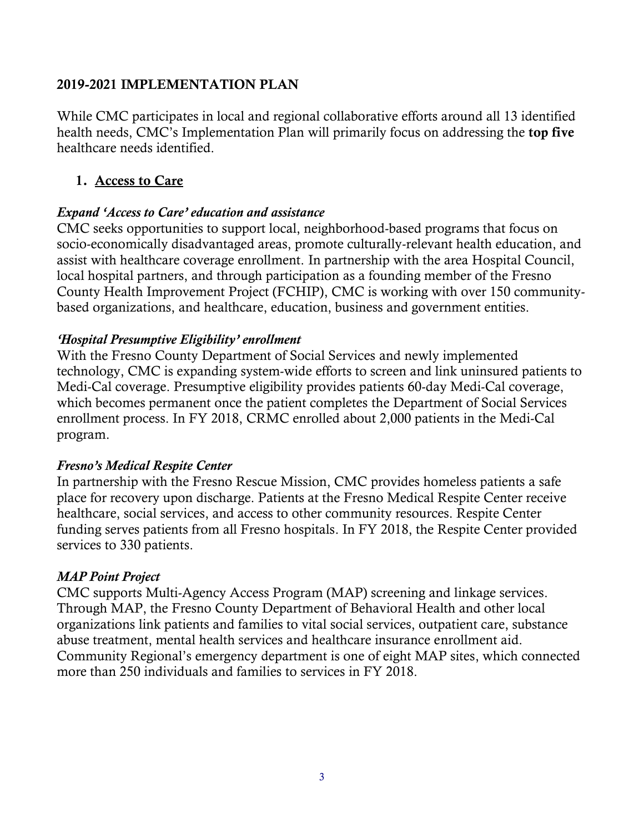## **2019-2021 IMPLEMENTATION PLAN**

While CMC participates in local and regional collaborative efforts around all 13 identified health needs, CMC's Implementation Plan will primarily focus on addressing the **top five** healthcare needs identified.

## **1. Access to Care**

### *Expand 'Access to Care' education and assistance*

CMC seeks opportunities to support local, neighborhood-based programs that focus on socio-economically disadvantaged areas, promote culturally-relevant health education, and assist with healthcare coverage enrollment. In partnership with the area Hospital Council, local hospital partners, and through participation as a founding member of the Fresno County Health Improvement Project (FCHIP), CMC is working with over 150 communitybased organizations, and healthcare, education, business and government entities.

### *'Hospital Presumptive Eligibility' enrollment*

With the Fresno County Department of Social Services and newly implemented technology, CMC is expanding system-wide efforts to screen and link uninsured patients to Medi-Cal coverage. Presumptive eligibility provides patients 60-day Medi-Cal coverage, which becomes permanent once the patient completes the Department of Social Services enrollment process. In FY 2018, CRMC enrolled about 2,000 patients in the Medi-Cal program.

## *Fresno's Medical Respite Center*

In partnership with the Fresno Rescue Mission, CMC provides homeless patients a safe place for recovery upon discharge. Patients at the Fresno Medical Respite Center receive healthcare, social services, and access to other community resources. Respite Center funding serves patients from all Fresno hospitals. In FY 2018, the Respite Center provided services to 330 patients.

#### *MAP Point Project*

CMC supports Multi-Agency Access Program (MAP) screening and linkage services. Through MAP, the Fresno County Department of Behavioral Health and other local organizations link patients and families to vital social services, outpatient care, substance abuse treatment, mental health services and healthcare insurance enrollment aid. Community Regional's emergency department is one of eight MAP sites, which connected more than 250 individuals and families to services in FY 2018.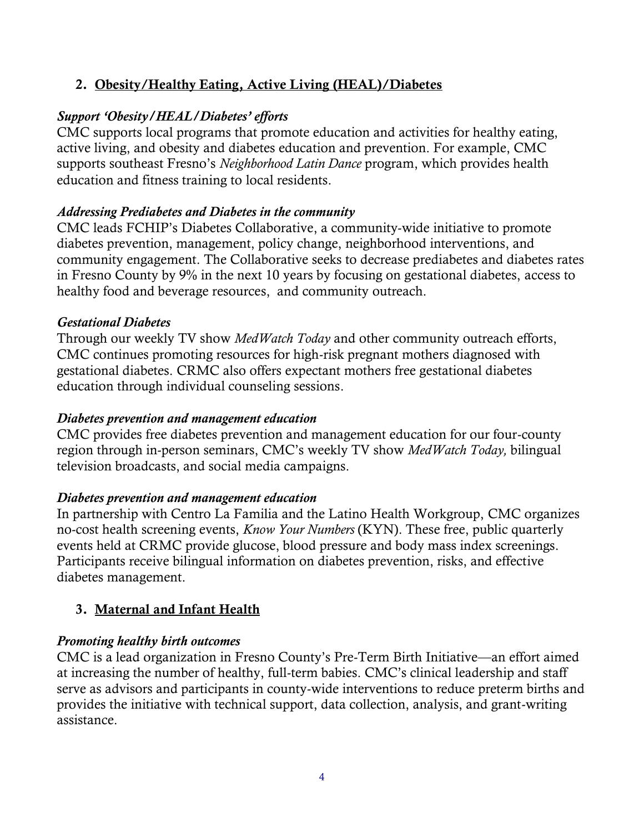# **2. Obesity/Healthy Eating, Active Living (HEAL)/Diabetes**

## *Support 'Obesity/HEAL/Diabetes' efforts*

CMC supports local programs that promote education and activities for healthy eating, active living, and obesity and diabetes education and prevention. For example, CMC supports southeast Fresno's *Neighborhood Latin Dance* program, which provides health education and fitness training to local residents.

## *Addressing Prediabetes and Diabetes in the community*

CMC leads FCHIP's Diabetes Collaborative, a community-wide initiative to promote diabetes prevention, management, policy change, neighborhood interventions, and community engagement. The Collaborative seeks to decrease prediabetes and diabetes rates in Fresno County by 9% in the next 10 years by focusing on gestational diabetes, access to healthy food and beverage resources, and community outreach.

### *Gestational Diabetes*

Through our weekly TV show *MedWatch Today* and other community outreach efforts, CMC continues promoting resources for high-risk pregnant mothers diagnosed with gestational diabetes. CRMC also offers expectant mothers free gestational diabetes education through individual counseling sessions.

### *Diabetes prevention and management education*

CMC provides free diabetes prevention and management education for our four-county region through in-person seminars, CMC's weekly TV show *MedWatch Today,* bilingual television broadcasts, and social media campaigns.

## *Diabetes prevention and management education*

In partnership with Centro La Familia and the Latino Health Workgroup, CMC organizes no-cost health screening events, *Know Your Numbers* (KYN). These free, public quarterly events held at CRMC provide glucose, blood pressure and body mass index screenings. Participants receive bilingual information on diabetes prevention, risks, and effective diabetes management.

# **3. Maternal and Infant Health**

## *Promoting healthy birth outcomes*

CMC is a lead organization in Fresno County's Pre-Term Birth Initiative—an effort aimed at increasing the number of healthy, full-term babies. CMC's clinical leadership and staff serve as advisors and participants in county-wide interventions to reduce preterm births and provides the initiative with technical support, data collection, analysis, and grant-writing assistance.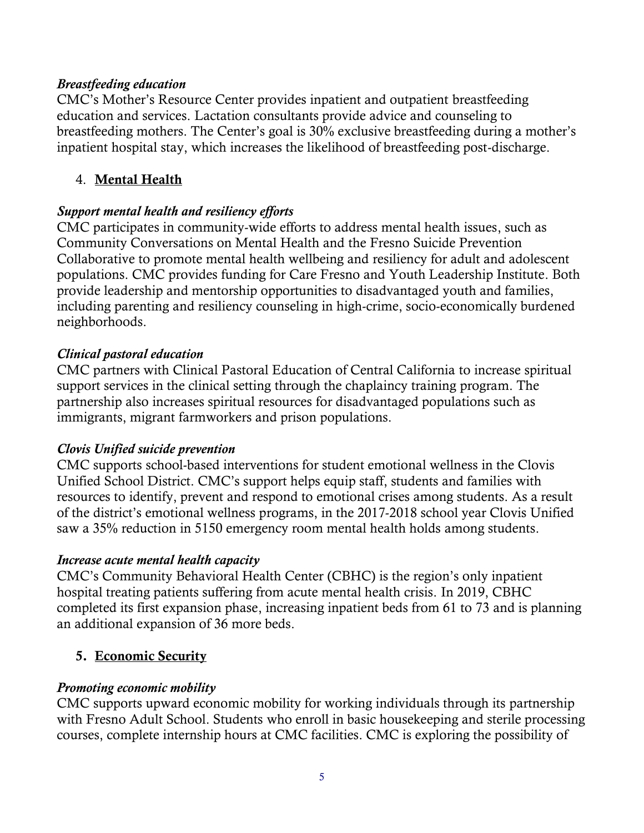### *Breastfeeding education*

CMC's Mother's Resource Center provides inpatient and outpatient breastfeeding education and services. Lactation consultants provide advice and counseling to breastfeeding mothers. The Center's goal is 30% exclusive breastfeeding during a mother's inpatient hospital stay, which increases the likelihood of breastfeeding post-discharge.

## 4. **Mental Health**

## *Support mental health and resiliency efforts*

CMC participates in community-wide efforts to address mental health issues, such as Community Conversations on Mental Health and the Fresno Suicide Prevention Collaborative to promote mental health wellbeing and resiliency for adult and adolescent populations. CMC provides funding for Care Fresno and Youth Leadership Institute. Both provide leadership and mentorship opportunities to disadvantaged youth and families, including parenting and resiliency counseling in high-crime, socio-economically burdened neighborhoods.

## *Clinical pastoral education*

CMC partners with Clinical Pastoral Education of Central California to increase spiritual support services in the clinical setting through the chaplaincy training program. The partnership also increases spiritual resources for disadvantaged populations such as immigrants, migrant farmworkers and prison populations.

## *Clovis Unified suicide prevention*

CMC supports school-based interventions for student emotional wellness in the Clovis Unified School District. CMC's support helps equip staff, students and families with resources to identify, prevent and respond to emotional crises among students. As a result of the district's emotional wellness programs, in the 2017-2018 school year Clovis Unified saw a 35% reduction in 5150 emergency room mental health holds among students.

## *Increase acute mental health capacity*

CMC's Community Behavioral Health Center (CBHC) is the region's only inpatient hospital treating patients suffering from acute mental health crisis. In 2019, CBHC completed its first expansion phase, increasing inpatient beds from 61 to 73 and is planning an additional expansion of 36 more beds.

# **5. Economic Security**

## *Promoting economic mobility*

CMC supports upward economic mobility for working individuals through its partnership with Fresno Adult School. Students who enroll in basic housekeeping and sterile processing courses, complete internship hours at CMC facilities. CMC is exploring the possibility of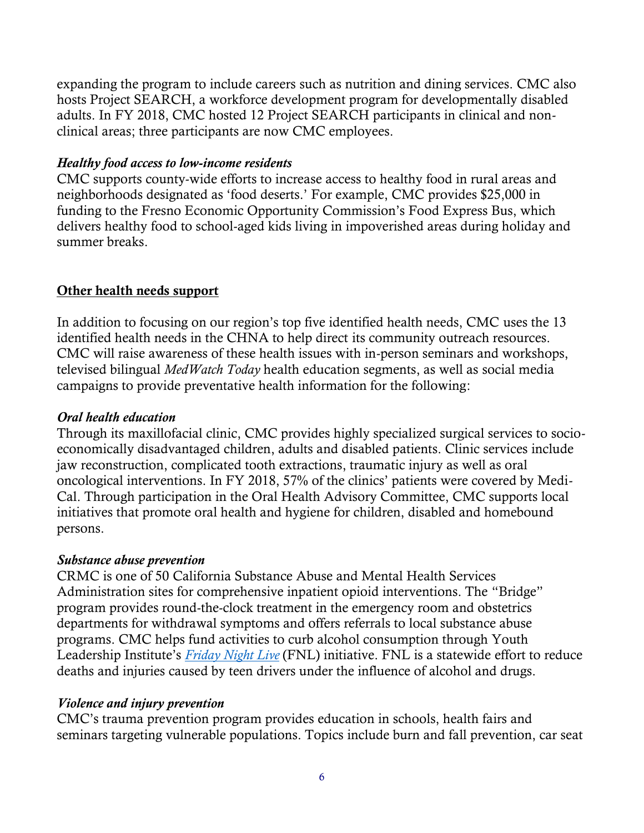expanding the program to include careers such as nutrition and dining services. CMC also hosts Project SEARCH, a workforce development program for developmentally disabled adults. In FY 2018, CMC hosted 12 Project SEARCH participants in clinical and nonclinical areas; three participants are now CMC employees.

## *Healthy food access to low-income residents*

CMC supports county-wide efforts to increase access to healthy food in rural areas and neighborhoods designated as 'food deserts.' For example, CMC provides \$25,000 in funding to the Fresno Economic Opportunity Commission's Food Express Bus, which delivers healthy food to school-aged kids living in impoverished areas during holiday and summer breaks.

## **Other health needs support**

In addition to focusing on our region's top five identified health needs, CMC uses the 13 identified health needs in the CHNA to help direct its community outreach resources. CMC will raise awareness of these health issues with in-person seminars and workshops, televised bilingual *MedWatch Today* health education segments, as well as social media campaigns to provide preventative health information for the following:

## *Oral health education*

Through its maxillofacial clinic, CMC provides highly specialized surgical services to socioeconomically disadvantaged children, adults and disabled patients. Clinic services include jaw reconstruction, complicated tooth extractions, traumatic injury as well as oral oncological interventions. In FY 2018, 57% of the clinics' patients were covered by Medi-Cal. Through participation in the Oral Health Advisory Committee, CMC supports local initiatives that promote oral health and hygiene for children, disabled and homebound persons.

#### *Substance abuse prevention*

CRMC is one of 50 California Substance Abuse and Mental Health Services Administration sites for comprehensive inpatient opioid interventions. The "Bridge" program provides round-the-clock treatment in the emergency room and obstetrics departments for withdrawal symptoms and offers referrals to local substance abuse programs. CMC helps fund activities to curb alcohol consumption through Youth Leadership Institute's *[Friday Night Live](https://fridaynightlive.org/about-us/cfnlp-overview/)* (FNL) initiative. FNL is a statewide effort to reduce deaths and injuries caused by teen drivers under the influence of alcohol and drugs.

## *Violence and injury prevention*

CMC's trauma prevention program provides education in schools, health fairs and seminars targeting vulnerable populations. Topics include burn and fall prevention, car seat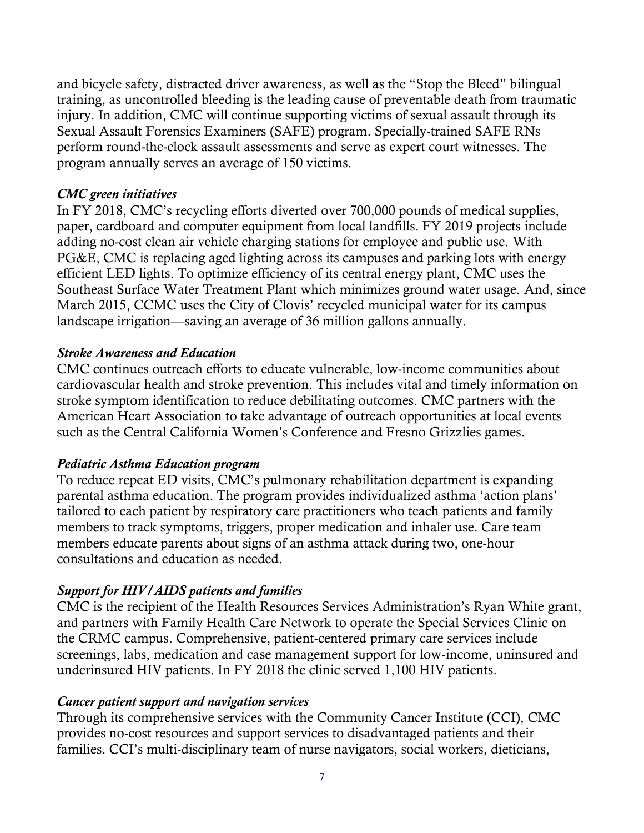and bicycle safety, distracted driver awareness, as well as the "Stop the Bleed" bilingual training, as uncontrolled bleeding is the leading cause of preventable death from traumatic injury. In addition, CMC will continue supporting victims of sexual assault through its Sexual Assault Forensics Examiners (SAFE) program. Specially-trained SAFE RNs perform round-the-clock assault assessments and serve as expert court witnesses. The program annually serves an average of 150 victims.

## *CMC green initiatives*

In FY 2018, CMC's recycling efforts diverted over 700,000 pounds of medical supplies, paper, cardboard and computer equipment from local landfills. FY 2019 projects include adding no-cost clean air vehicle charging stations for employee and public use. With PG&E, CMC is replacing aged lighting across its campuses and parking lots with energy efficient LED lights. To optimize efficiency of its central energy plant, CMC uses the Southeast Surface Water Treatment Plant which minimizes ground water usage. And, since March 2015, CCMC uses the City of Clovis' recycled municipal water for its campus landscape irrigation—saving an average of 36 million gallons annually.

#### *Stroke Awareness and Education*

CMC continues outreach efforts to educate vulnerable, low-income communities about cardiovascular health and stroke prevention. This includes vital and timely information on stroke symptom identification to reduce debilitating outcomes. CMC partners with the American Heart Association to take advantage of outreach opportunities at local events such as the Central California Women's Conference and Fresno Grizzlies games.

#### *Pediatric Asthma Education program*

To reduce repeat ED visits, CMC's pulmonary rehabilitation department is expanding parental asthma education. The program provides individualized asthma 'action plans' tailored to each patient by respiratory care practitioners who teach patients and family members to track symptoms, triggers, proper medication and inhaler use. Care team members educate parents about signs of an asthma attack during two, one-hour consultations and education as needed.

## *Support for HIV/AIDS patients and families*

CMC is the recipient of the Health Resources Services Administration's Ryan White grant, and partners with Family Health Care Network to operate the Special Services Clinic on the CRMC campus. Comprehensive, patient-centered primary care services include screenings, labs, medication and case management support for low-income, uninsured and underinsured HIV patients. In FY 2018 the clinic served 1,100 HIV patients.

#### *Cancer patient support and navigation services*

Through its comprehensive services with the Community Cancer Institute (CCI), CMC provides no-cost resources and support services to disadvantaged patients and their families. CCI's multi-disciplinary team of nurse navigators, social workers, dieticians,